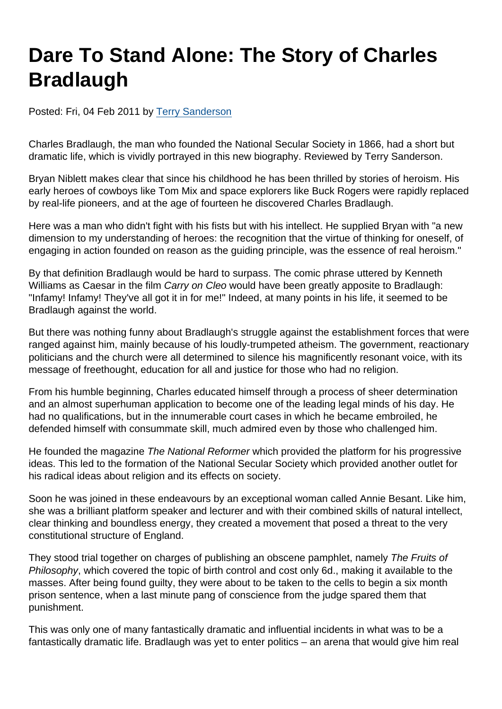## Dare To Stand Alone: The Story of Charles Bradlaugh

Posted: Fri, 04 Feb 2011 by [Terry Sanderson](https://www.secularism.org.uk/opinion/authors/850)

Charles Bradlaugh, the man who founded the National Secular Society in 1866, had a short but dramatic life, which is vividly portrayed in this new biography. Reviewed by Terry Sanderson.

Bryan Niblett makes clear that since his childhood he has been thrilled by stories of heroism. His early heroes of cowboys like Tom Mix and space explorers like Buck Rogers were rapidly replaced by real-life pioneers, and at the age of fourteen he discovered Charles Bradlaugh.

Here was a man who didn't fight with his fists but with his intellect. He supplied Bryan with "a new dimension to my understanding of heroes: the recognition that the virtue of thinking for oneself, of engaging in action founded on reason as the guiding principle, was the essence of real heroism."

By that definition Bradlaugh would be hard to surpass. The comic phrase uttered by Kenneth Williams as Caesar in the film Carry on Cleo would have been greatly apposite to Bradlaugh: "Infamy! Infamy! They've all got it in for me!" Indeed, at many points in his life, it seemed to be Bradlaugh against the world.

But there was nothing funny about Bradlaugh's struggle against the establishment forces that were ranged against him, mainly because of his loudly-trumpeted atheism. The government, reactionary politicians and the church were all determined to silence his magnificently resonant voice, with its message of freethought, education for all and justice for those who had no religion.

From his humble beginning, Charles educated himself through a process of sheer determination and an almost superhuman application to become one of the leading legal minds of his day. He had no qualifications, but in the innumerable court cases in which he became embroiled, he defended himself with consummate skill, much admired even by those who challenged him.

He founded the magazine The National Reformer which provided the platform for his progressive ideas. This led to the formation of the National Secular Society which provided another outlet for his radical ideas about religion and its effects on society.

Soon he was joined in these endeavours by an exceptional woman called Annie Besant. Like him, she was a brilliant platform speaker and lecturer and with their combined skills of natural intellect, clear thinking and boundless energy, they created a movement that posed a threat to the very constitutional structure of England.

They stood trial together on charges of publishing an obscene pamphlet, namely The Fruits of Philosophy, which covered the topic of birth control and cost only 6d., making it available to the masses. After being found guilty, they were about to be taken to the cells to begin a six month prison sentence, when a last minute pang of conscience from the judge spared them that punishment.

This was only one of many fantastically dramatic and influential incidents in what was to be a fantastically dramatic life. Bradlaugh was yet to enter politics – an arena that would give him real